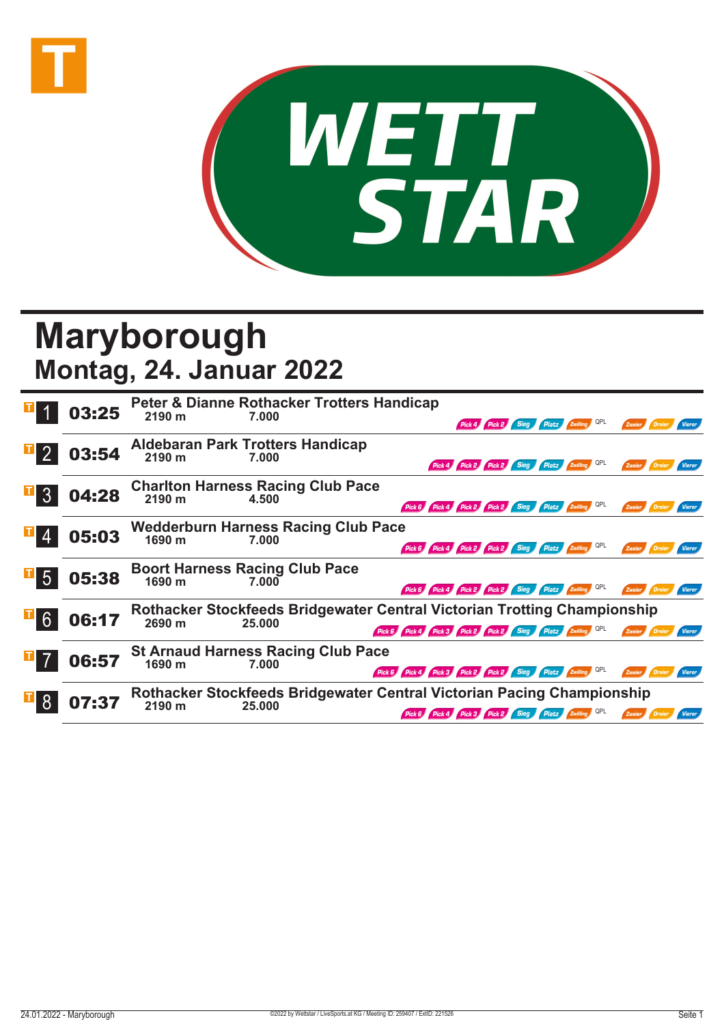



## **Maryborough Montag, 24. Januar 2022**

|                | 03:25 | Peter & Dianne Rothacker Trotters Handicap<br>2190 m<br>7.000<br>Pick 4 Pick 2 Sieg Platz Zwilling QPL<br>Zweier <b>Dreier</b>                                       |
|----------------|-------|----------------------------------------------------------------------------------------------------------------------------------------------------------------------|
|                | 03:54 | <b>Aldebaran Park Trotters Handicap</b><br>2190 m<br>7.000<br>Pick 4 Pick 2 Pick 2 Sieg Platz Zwilling                                                               |
|                | 04:28 | <b>Charlton Harness Racing Club Pace</b><br>2190 m<br>4.500<br>Pick 6 Pick 4 Pick 2 Pick 2 Sieg Platz Zwilling QPL<br>Zweier                                         |
|                | 05:03 | <b>Wedderburn Harness Racing Club Pace</b><br>1690 m<br>7.000<br>Pick 6 Pick 4 Pick 2 Pick 2 Sieg Platz Zwilling QPL<br>Zweier<br>Vierer                             |
| $\mathbf{F}$ 5 | 05:38 | <b>Boort Harness Racing Club Pace</b><br>1690 m<br>7.000<br>Pick 6 Pick 4 Pick 2 Pick 2 Sieg Platz Zwilling QPL<br>Zweier<br>Vierer                                  |
| $\mathbf{H}$ 6 | 06:17 | Rothacker Stockfeeds Bridgewater Central Victorian Trotting Championship<br>2690 m<br>25.000<br>Pick 6 Pick 4 Pick 3 Pick 2 Pick 2 Sieg Platz Zwilling QPL<br>Vierer |
|                | 06:57 | <b>St Arnaud Harness Racing Club Pace</b><br>1690 m<br>7.000<br>Pick 6 Pick 4 Pick 3 Pick 2 Pick 2 Sieg Platz Zwilling QPL<br>Zweier<br>Vierer                       |
|                | 07:37 | Rothacker Stockfeeds Bridgewater Central Victorian Pacing Championship<br>2190 m<br>25.000<br>Pick 6 Pick 4 Pick 3 Pick 2 Sieg Platz Zwilling                        |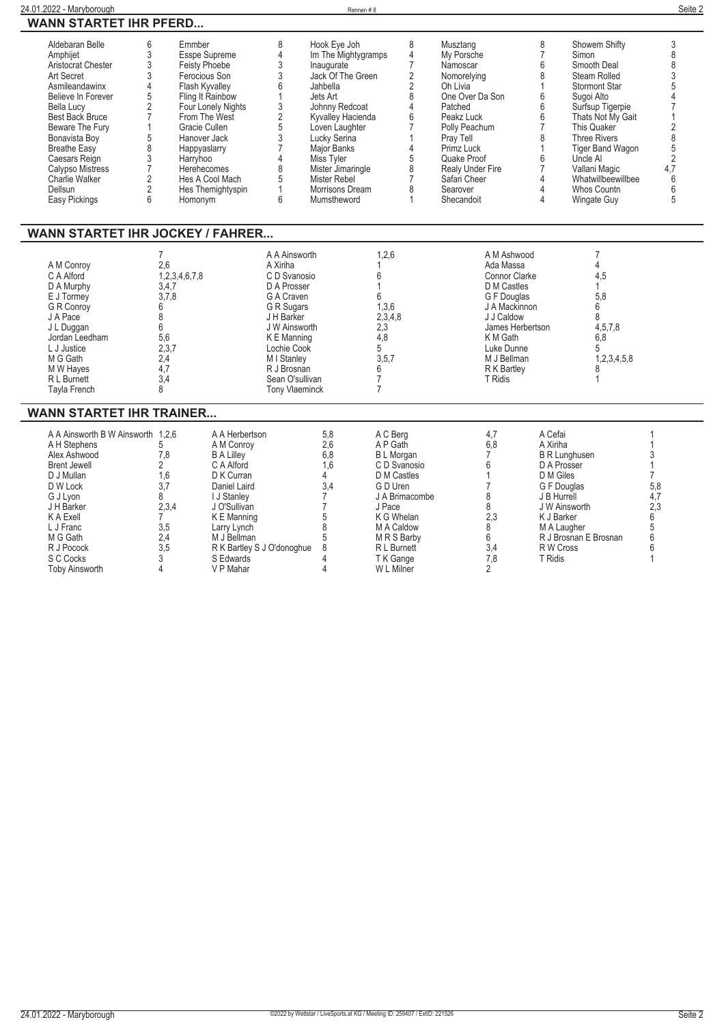| 24.01.2022 - Maryborough      | Rennen#8 | Seite 2 |
|-------------------------------|----------|---------|
| <b>WANN STARTET IHR PFERD</b> |          |         |

| <b>WANN STARTET IHR PFERD</b>                                                                                                                                                                                                                                                                        |                                                                                                                            |                                                                                                                                                                                                                                                        |                                                                                                                                                                                                                             |                                                                                                                                                                                                                                                                                           |                                                     |                                                                                                                                                                                                                                           |                                                                                                                                      |                                                                                                                                                                                                                                                                                        |                                                                                           |
|------------------------------------------------------------------------------------------------------------------------------------------------------------------------------------------------------------------------------------------------------------------------------------------------------|----------------------------------------------------------------------------------------------------------------------------|--------------------------------------------------------------------------------------------------------------------------------------------------------------------------------------------------------------------------------------------------------|-----------------------------------------------------------------------------------------------------------------------------------------------------------------------------------------------------------------------------|-------------------------------------------------------------------------------------------------------------------------------------------------------------------------------------------------------------------------------------------------------------------------------------------|-----------------------------------------------------|-------------------------------------------------------------------------------------------------------------------------------------------------------------------------------------------------------------------------------------------|--------------------------------------------------------------------------------------------------------------------------------------|----------------------------------------------------------------------------------------------------------------------------------------------------------------------------------------------------------------------------------------------------------------------------------------|-------------------------------------------------------------------------------------------|
| Aldebaran Belle<br>Amphijet<br>Aristocrat Chester<br>Art Secret<br>Asmileandawinx<br>Believe In Forever<br><b>Bella Lucy</b><br>Best Back Bruce<br>Beware The Fury<br>Bonavista Boy<br><b>Breathe Easy</b><br>Caesars Reign<br><b>Calypso Mistress</b><br>Charlie Walker<br>Dellsun<br>Easy Pickings | Emmber<br>6<br>3<br>3<br>3<br>4<br>5<br>$\overline{2}$<br>5<br>8<br>3<br>Harryhoo<br>$\overline{2}$<br>$\overline{2}$<br>6 | Esspe Supreme<br><b>Feisty Phoebe</b><br>Ferocious Son<br>Flash Kyvalley<br>Fling It Rainbow<br>Four Lonely Nights<br>From The West<br>Gracie Cullen<br>Hanover Jack<br>Happyaslarry<br>Herehecomes<br>Hes A Cool Mach<br>Hes Themightyspin<br>Homonym | 8<br>4<br>3<br>3<br>3<br>$\overline{2}$<br>5<br>3<br>8<br>6                                                                                                                                                                 | Hook Eye Joh<br>Im The Mightygramps<br>Inaugurate<br>Jack Of The Green<br>Jahbella<br>Jets Art<br>Johnny Redcoat<br>Kyvalley Hacienda<br>Loven Laughter<br>Lucky Serina<br><b>Major Banks</b><br>Miss Tyler<br>Mister Jimaringle<br><b>Mister Rebel</b><br>Morrisons Dream<br>Mumstheword | 8<br>4<br>7<br>2<br>2<br>8<br>4<br>6<br>5<br>8<br>1 | Musztang<br>My Porsche<br>Namoscar<br>Nomorelying<br>Oh Livia<br>One Over Da Son<br>Patched<br>Peakz Luck<br>Polly Peachum<br>Pray Tell<br>Primz Luck<br>Quake Proof<br><b>Realy Under Fire</b><br>Safari Cheer<br>Searover<br>Shecandoit | 8<br>$\overline{7}$<br>6<br>8<br>6<br>6<br>$6\phantom{1}$<br>$\overline{7}$<br>8<br>6<br>$\overline{7}$<br>4<br>$\Delta$<br>$\Delta$ | Showem Shifty<br>Simon<br>Smooth Deal<br>Steam Rolled<br><b>Stormont Star</b><br>Sugoi Alto<br>Surfsup Tigerpie<br>Thats Not My Gait<br>This Quaker<br><b>Three Rivers</b><br><b>Tiger Band Wagon</b><br>Uncle Al<br>Vallani Magic<br>Whatwillbeewillbee<br>Whos Countn<br>Wingate Guy | 3<br>8<br>8<br>3<br>5<br>$\overline{2}$<br>8<br>5<br>$\overline{2}$<br>4.7<br>6<br>6<br>5 |
| <b>WANN STARTET IHR JOCKEY / FAHRER</b>                                                                                                                                                                                                                                                              |                                                                                                                            |                                                                                                                                                                                                                                                        |                                                                                                                                                                                                                             |                                                                                                                                                                                                                                                                                           |                                                     |                                                                                                                                                                                                                                           |                                                                                                                                      |                                                                                                                                                                                                                                                                                        |                                                                                           |
| A M Conroy<br>C A Alford<br>D A Murphy<br>E J Tormey<br><b>G R Conroy</b><br>J A Pace<br>J L Duggan<br>Jordan Leedham<br>L J Justice<br>M G Gath<br>M W Hayes<br>R L Burnett<br>Tayla French                                                                                                         | 2,6<br>1,2,3,4,6,7,8<br>3,4,7<br>3,7,8<br>6<br>8<br>6<br>5,6<br>2,3,7<br>2,4<br>4.7<br>3,4<br>8                            |                                                                                                                                                                                                                                                        | A A Ainsworth<br>A Xiriha<br>C D Svanosio<br>D A Prosser<br>G A Craven<br>G R Sugars<br>J H Barker<br>J W Ainsworth<br>K E Manning<br>Lochie Cook<br>M I Stanley<br>R J Brosnan<br>Sean O'sullivan<br><b>Tony Vlaeminck</b> | 6<br>6<br>4,8<br>5<br>6<br>7<br>$\overline{7}$                                                                                                                                                                                                                                            | 1,2,6<br>1,3,6<br>2,3,4,8<br>2,3<br>3,5,7           | A M Ashwood<br>Ada Massa<br><b>Connor Clarke</b><br>D M Castles<br>G F Douglas<br>J A Mackinnon<br>J J Caldow<br>K M Gath<br>Luke Dunne<br>M J Bellman<br>R K Bartley<br><b>T</b> Ridis                                                   | James Herbertson                                                                                                                     | 7<br>4<br>4,5<br>5.8<br>6<br>8<br>4,5,7,8<br>6,8<br>5<br>1,2,3,4,5,8<br>8                                                                                                                                                                                                              |                                                                                           |
| <b>WANN STARTET IHR TRAINER</b>                                                                                                                                                                                                                                                                      |                                                                                                                            |                                                                                                                                                                                                                                                        |                                                                                                                                                                                                                             |                                                                                                                                                                                                                                                                                           |                                                     |                                                                                                                                                                                                                                           |                                                                                                                                      |                                                                                                                                                                                                                                                                                        |                                                                                           |
| A A Ainsworth B W Ainsworth 1,2,6<br>A H Stephens                                                                                                                                                                                                                                                    | 5                                                                                                                          | A A Herbertson<br>A M Conrov                                                                                                                                                                                                                           |                                                                                                                                                                                                                             | 5,8<br>2.6                                                                                                                                                                                                                                                                                | A C Bera<br>A P Gath                                | 4,7<br>6.8                                                                                                                                                                                                                                | A Cefai<br>A Xiriha                                                                                                                  |                                                                                                                                                                                                                                                                                        |                                                                                           |

| A A Ainsworth B W Ainsworth 1.2.6 |       | A A Herbertson               | 5.8 | A C Berg         |     | A Cefai               |     |
|-----------------------------------|-------|------------------------------|-----|------------------|-----|-----------------------|-----|
| A H Stephens                      |       | A M Conroy                   | 2,6 | A P Gath         | 6,8 | A Xiriha              |     |
| Alex Ashwood                      | 7,8   | <b>B A Lilley</b>            | 6,8 | <b>BL</b> Morgan |     | <b>B R Lunghusen</b>  |     |
| <b>Brent Jewell</b>               |       | C A Alford                   | 1.6 | C D Svanosio     |     | D A Prosser           |     |
| D J Mullan                        | 1,6   | D K Curran                   |     | D M Castles      |     | D M Giles             |     |
| D W Lock                          |       | Daniel Laird                 | 3,4 | G D Uren         |     | G F Douglas           | 5,8 |
| G J Lvon                          |       | <b>J Stanley</b>             |     | J A Brimacombe   |     | J B Hurrell           |     |
| J H Barker                        | 2,3,4 | J O'Sullivan                 |     | J Pace           |     | J W Ainsworth         |     |
| K A Exell                         |       | K E Manning                  |     | K G Whelan       | 2,3 | K J Barker            |     |
| L J Franc                         | 3,5   | Larry Lynch                  |     | M A Caldow       |     | M A Laugher           |     |
| M G Gath                          | 2,4   | M J Bellman                  |     | M R S Barby      |     | R J Brosnan E Brosnan |     |
| R J Pocock                        | 3,5   | R K Bartley S J O'donoghue 8 |     | R L Burnett      | 3,4 | R W Cross             |     |
| S C Cocks                         |       | S Edwards                    |     | T K Gange        | 7.8 | T Ridis               |     |
| <b>Toby Ainsworth</b>             |       | V P Mahar                    |     | W L Milner       |     |                       |     |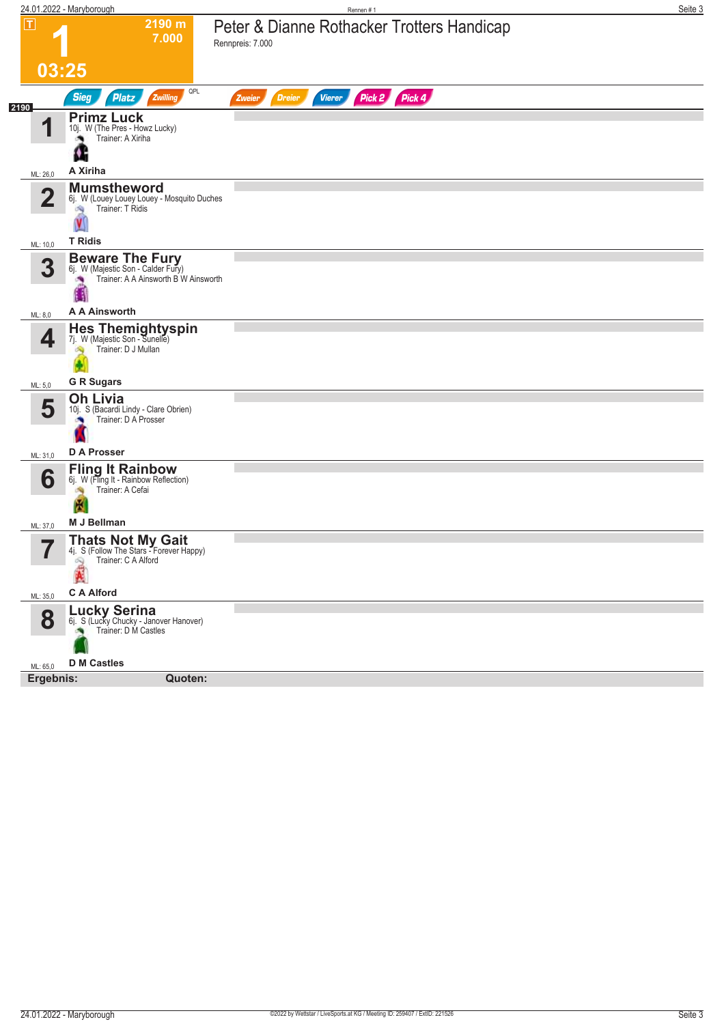|                         | 24.01.2022 - Maryborough                                                                                      | Rennen #1                                                      | Seite 3 |
|-------------------------|---------------------------------------------------------------------------------------------------------------|----------------------------------------------------------------|---------|
| $ \mathsf{T} $          | 2190 m<br>7.000                                                                                               | Peter & Dianne Rothacker Trotters Handicap<br>Rennpreis: 7.000 |         |
|                         | 03:25                                                                                                         |                                                                |         |
|                         | QPL<br><b>Sieg</b><br><b>Platz</b><br>Zwilling                                                                | Pick 2 Pick 4<br><b>Vierer</b><br><b>Dreier</b><br>Zweier      |         |
| 2190<br>И               | <b>Primz Luck</b><br>10j. W (The Pres - Howz Lucky)<br>Trainer: A Xiriha<br>м                                 |                                                                |         |
| ML: 26,0                | A Xiriha                                                                                                      |                                                                |         |
| $\overline{\mathbf{2}}$ | <b>Mumstheword</b><br>6j. W (Louey Louey Louey - Mosquito Duches<br>Trainer: T Ridis<br>鸿                     |                                                                |         |
| ML: 10,0                | <b>T</b> Ridis                                                                                                |                                                                |         |
| 3                       | <b>Beware The Fury</b><br>6j. W (Majestic Son - Calder Fury)<br>Trainer: A A Ainsworth B W Ainsworth          |                                                                |         |
| ML: 8,0                 | A A Ainsworth                                                                                                 |                                                                |         |
| 4                       | Hes Themightyspin<br>7j. W (Majestic Son - Sunelle)<br>Trainer: D J Mullan<br><b>G R Sugars</b>               |                                                                |         |
| ML: 5,0                 | <b>Oh Livia</b>                                                                                               |                                                                |         |
| 5                       | 10j. S (Bacardi Lindy - Clare Obrien)<br>Trainer: D A Prosser                                                 |                                                                |         |
| ML: 31,0                | D A Prosser                                                                                                   |                                                                |         |
| 6<br>ML: 37,0           | <b>Fling It Rainbow</b><br>6j. W (Fling It - Rainbow Reflection)<br>Trainer: A Cefai<br>淘<br>X<br>M J Bellman |                                                                |         |
|                         | <b>Thats Not My Gait</b>                                                                                      |                                                                |         |
|                         | 4j. S (Follow The Stars - Forever Happy)<br>Trainer: C A Alford<br>49<br>P.                                   |                                                                |         |
| ML: 35,0                | <b>C A Alford</b>                                                                                             |                                                                |         |
| 8                       | <b>Lucky Serina</b><br>61. S (Lucky Chucky - Janover Hanover)<br>Trainer: D M Castles                         |                                                                |         |
| ML: 65,0                | <b>D</b> M Castles                                                                                            |                                                                |         |
| Ergebnis:               | Quoten:                                                                                                       |                                                                |         |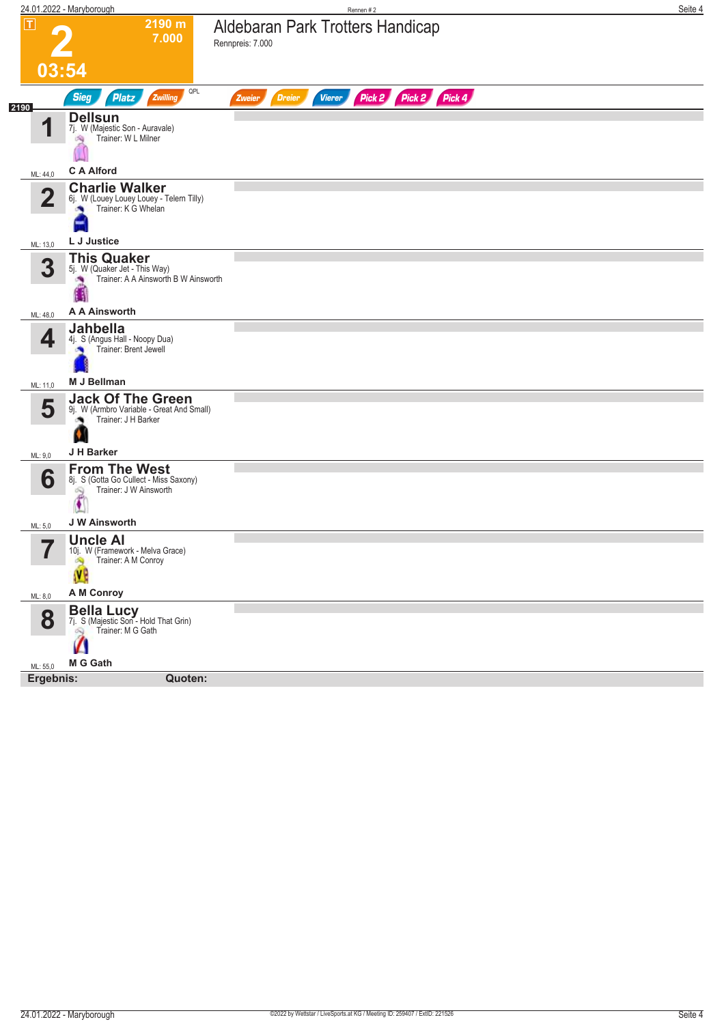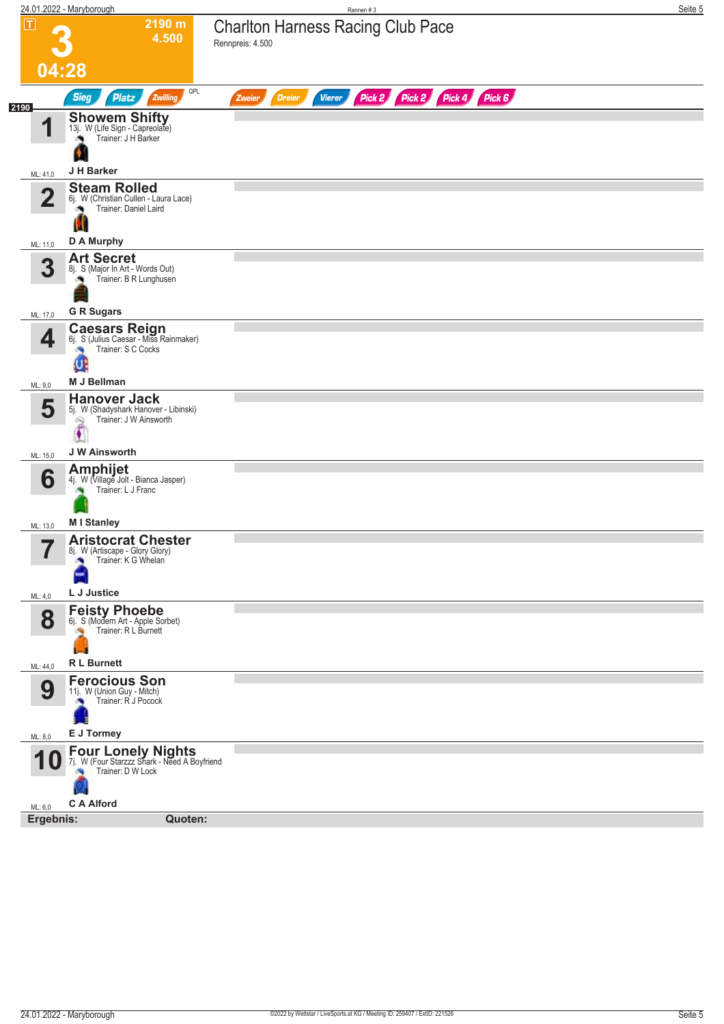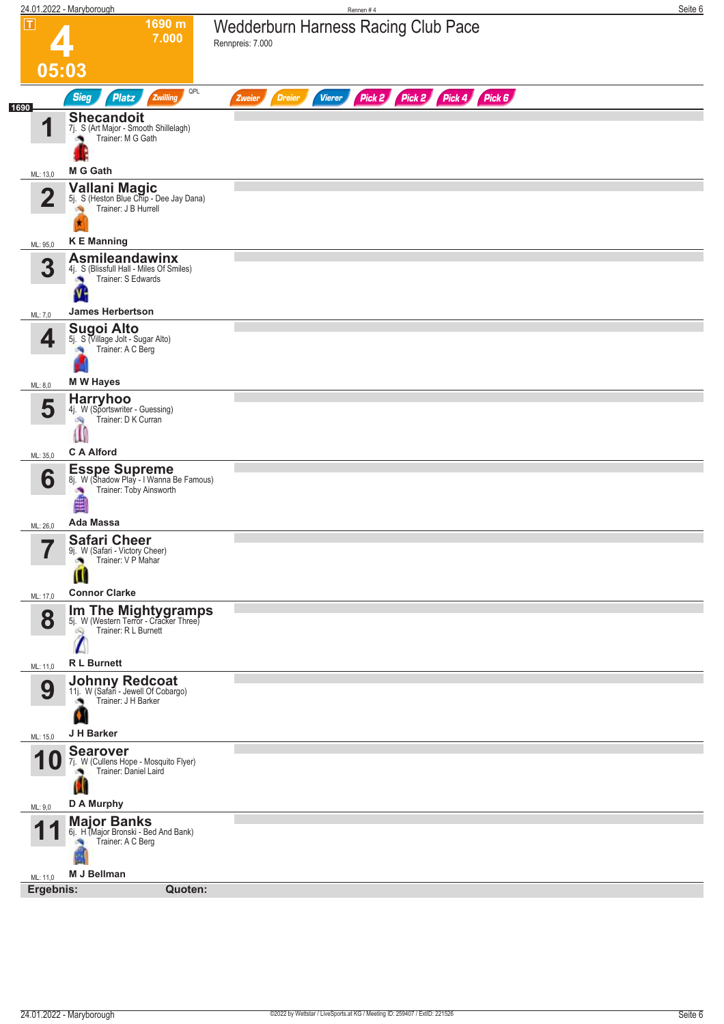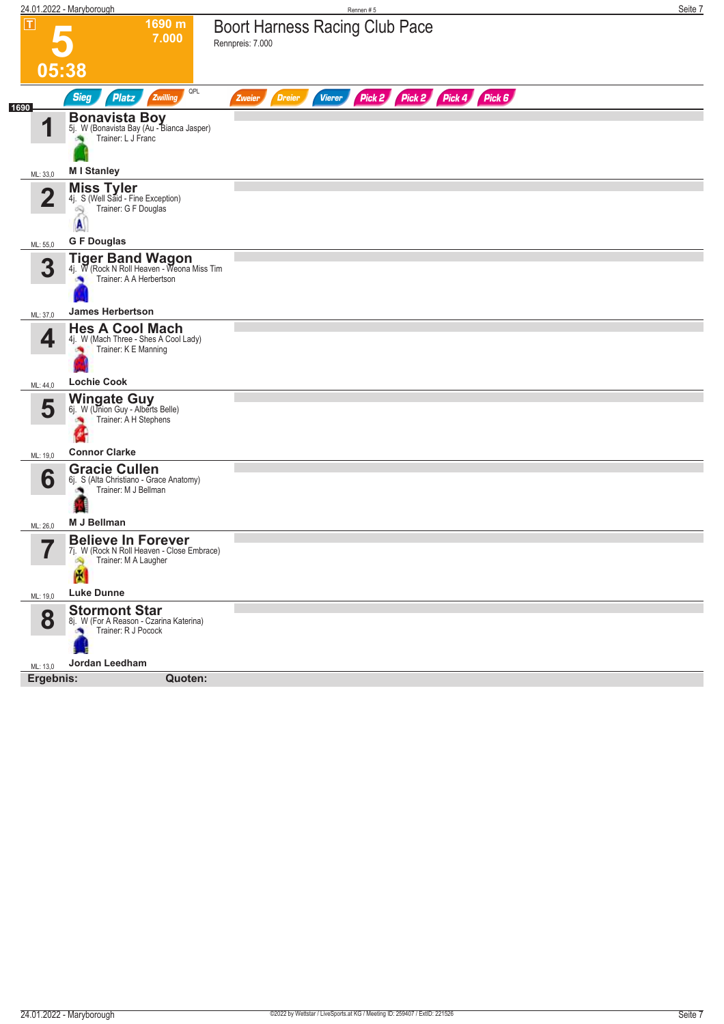|                         | 24.01.2022 - Maryborough                                                                                      | Rennen#5                                                                   | Seite 7 |
|-------------------------|---------------------------------------------------------------------------------------------------------------|----------------------------------------------------------------------------|---------|
| T                       | 1690 m<br>7.000                                                                                               | <b>Boort Harness Racing Club Pace</b><br>Rennpreis: 7.000                  |         |
| 05:38                   |                                                                                                               |                                                                            |         |
|                         | QPL<br><b>Sieg</b><br>Zwilling<br><b>Platz</b>                                                                | Pick 2 Pick 2 Pick 4<br>Pick 6<br><b>Dreier</b><br><b>Vierer</b><br>Zweier |         |
| 1690<br>И               | <b>Bonavista Boy</b><br>5j. W (Bonavista Bay (Au - Bianca Jasper)<br>Trainer: L J Franc                       |                                                                            |         |
| ML: 33,0                | <b>MI</b> Stanley                                                                                             |                                                                            |         |
| $\overline{\mathbf{2}}$ | <b>Miss Tyler</b><br>4j. S (Well Said - Fine Exception)<br>Trainer: G F Douglas<br>69<br>A                    |                                                                            |         |
|                         | <b>G F Douglas</b>                                                                                            |                                                                            |         |
| ML: 55,0<br>3           | <b>Tiger Band Wagon</b><br>4j. W (Rock N Roll Heaven - Weona Miss Tim<br>Trainer: A A Herbertson              |                                                                            |         |
| ML: 37,0                | <b>James Herbertson</b>                                                                                       |                                                                            |         |
| 4                       | <b>Hes A Cool Mach</b><br>4j. W (Mach Three - Shes A Cool Lady)<br>Trainer: K E Manning<br><b>Lochie Cook</b> |                                                                            |         |
| ML: 44,0                | <b>Wingate Guy</b>                                                                                            |                                                                            |         |
| 5                       | 6j. W (Union Guy - Alberts Belle)<br>Trainer: A H Stephens                                                    |                                                                            |         |
| ML: 19,0                | <b>Connor Clarke</b>                                                                                          |                                                                            |         |
| 6<br>ML: 26,0           | <b>Gracie Cullen</b><br>6j. S (Alta Christiano - Grace Anatomy)<br>Trainer: M J Bellman<br>M J Bellman        |                                                                            |         |
| 57                      | <b>Believe In Forever</b>                                                                                     |                                                                            |         |
| ı                       | 7j. W (Rock N Roll Heaven - Close Embrace)<br>Trainer: M A Laugher<br>Ą<br>闣                                  |                                                                            |         |
| ML: 19,0                | <b>Luke Dunne</b>                                                                                             |                                                                            |         |
| 8                       | <b>Stormont Star</b><br>8j. W (For A Reason - Czarina Katerina)<br>Trainer: R J Pocock                        |                                                                            |         |
| ML: 13,0                | Jordan Leedham                                                                                                |                                                                            |         |
| Ergebnis:               | Quoten:                                                                                                       |                                                                            |         |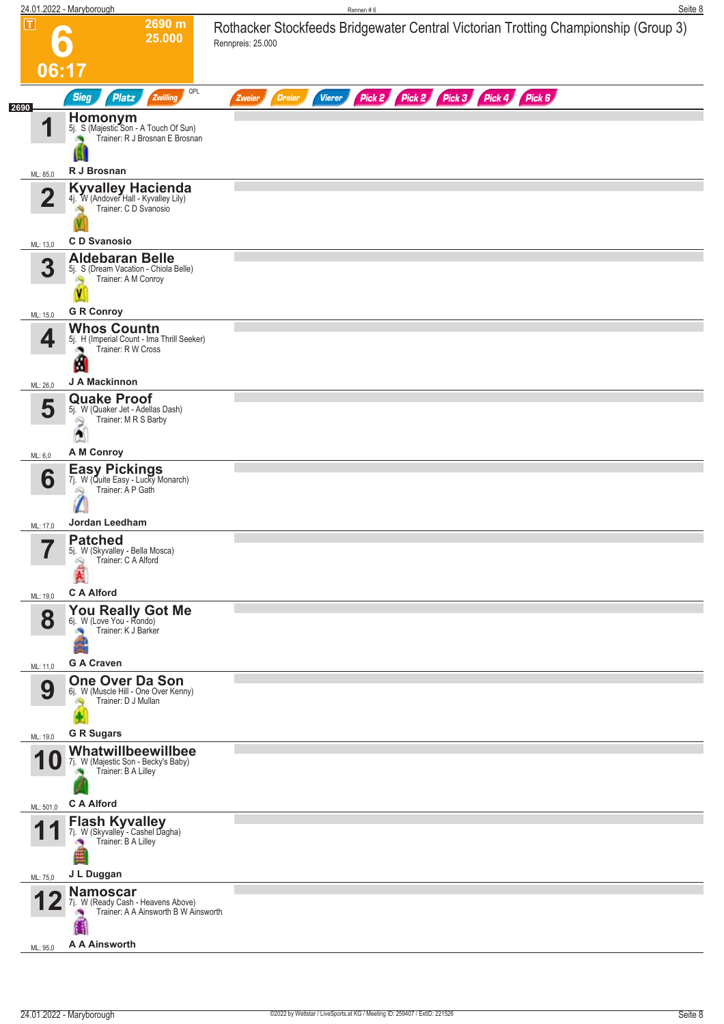|      |                | 24.01.2022 - Maryborough                                                                                    | Seite 8<br>Rennen#6                                                                                     |
|------|----------------|-------------------------------------------------------------------------------------------------------------|---------------------------------------------------------------------------------------------------------|
|      | $ \mathsf{T} $ | 2690 m<br>25.000                                                                                            | Rothacker Stockfeeds Bridgewater Central Victorian Trotting Championship (Group 3)<br>Rennpreis: 25.000 |
|      | 06:17          |                                                                                                             |                                                                                                         |
| 2690 |                | QPL<br><b>Sieg</b><br><b>Platz</b><br>Zwilling                                                              | Pick 2 Pick 2 Pick 3 Pick 4 Pick 6<br><b>Dreier</b><br><b>Vierer</b><br>Zweier                          |
|      | И<br>ML: 85,0  | Homonym<br>5j. S (Majestic Son - A Touch Of Sun)<br>Trainer: R J Brosnan E Brosnan<br>R J Brosnan           |                                                                                                         |
|      | 2              | Kyvalley Hacienda<br>4j. W (Andover Hall - Kyvalley Lily)<br>Trainer: C D Svanosio                          |                                                                                                         |
|      | ML: 13,0       | <b>CD</b> Svanosio                                                                                          |                                                                                                         |
|      | 3              | <b>Aldebaran Belle</b><br>5j. S (Dream Vacation - Chiola Belle)<br>Trainer: A M Conroy<br><b>G R Conroy</b> |                                                                                                         |
|      | ML: 15,0       | <b>Whos Countn</b>                                                                                          |                                                                                                         |
|      | 4              | 5j. H (Imperial Count - Ima Thrill Seeker)<br>Trainer: R W Cross<br>A<br>J A Mackinnon                      |                                                                                                         |
|      | ML: 26,0       | <b>Quake Proof</b>                                                                                          |                                                                                                         |
|      | 5              | 5j. W (Quaker Jet - Adellas Dash)<br>Trainer: M R S Barby<br>പ്പ<br>A                                       |                                                                                                         |
|      | ML: 6,0        | A M Conroy                                                                                                  |                                                                                                         |
|      | 6              | <b>Easy Pickings</b><br>7j. W (Quite Easy - Lucky Monarch)<br>Trainer: Á P Gath<br>Jordan Leedham           |                                                                                                         |
|      | ML: 17,0       | <b>Patched</b>                                                                                              |                                                                                                         |
|      | 7<br>ı         | 5j. W (Skyvalley - Bella Mosca)<br>Trainer: C A Alford<br>$\mathbb{Z}$<br><b>C A Alford</b>                 |                                                                                                         |
|      | ML: 19,0       |                                                                                                             |                                                                                                         |
|      | 8              | You Really Got Me<br>Trainer: K J Barker<br><b>G A Craven</b>                                               |                                                                                                         |
|      | ML: 11,0       | <b>One Over Da Son</b>                                                                                      |                                                                                                         |
|      | 9              | 6j. W (Muscle Hill - One Over Kenny)<br>Trainer: D J Mullan                                                 |                                                                                                         |
|      | ML: 19,0       | <b>G R Sugars</b>                                                                                           |                                                                                                         |
|      | TU             | Whatwillbeewillbee<br>7j. W (Majestic Son - Becky's Baby)<br>Trainer: B A Lilley<br><b>CA Alford</b>        |                                                                                                         |
|      | ML: 501,0      | <b>Flash Kyvalley</b>                                                                                       |                                                                                                         |
|      |                | 7j. W (Skyvalley - Cashel Dagha)<br>Trainer: B A Lilley<br>×                                                |                                                                                                         |
|      | ML: 75,0       | J L Duggan                                                                                                  |                                                                                                         |
|      |                | <b>Namoscar</b><br>7j. W (Ready Cash - Heavens Above)<br>Trainer: A A Ainsworth B W Ainsworth               |                                                                                                         |
|      | ML: 95,0       | A A Ainsworth                                                                                               |                                                                                                         |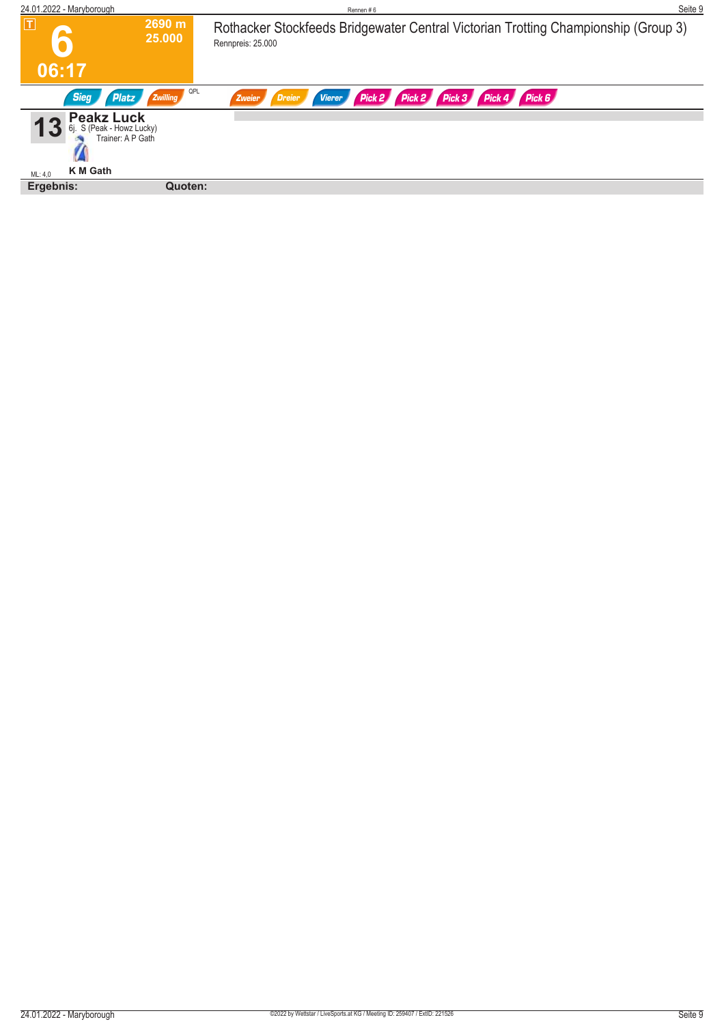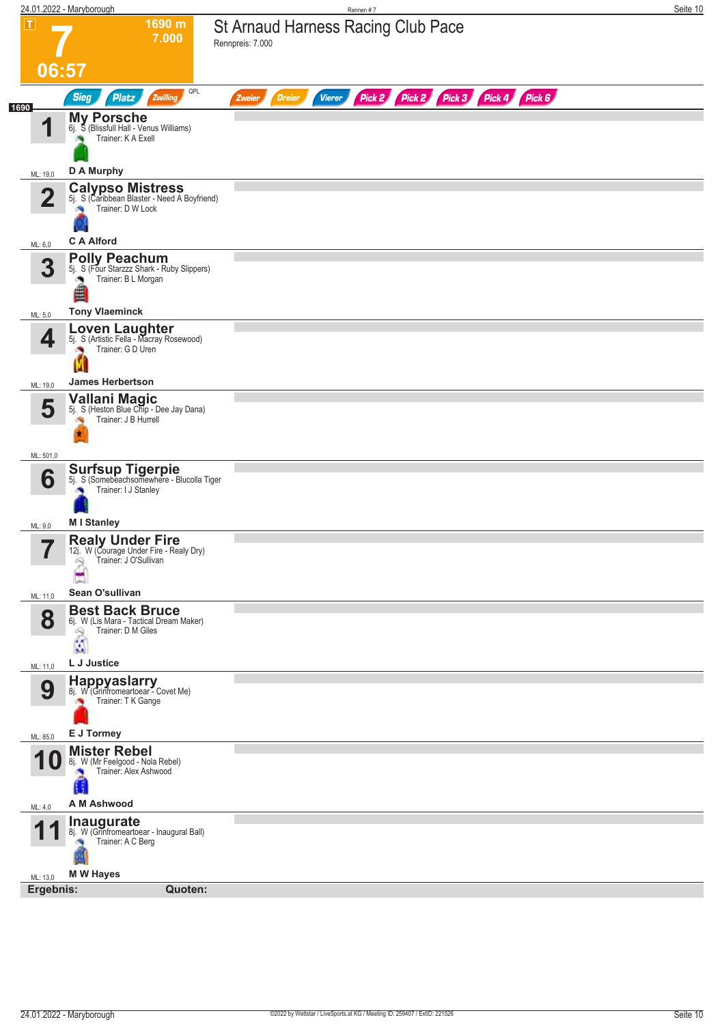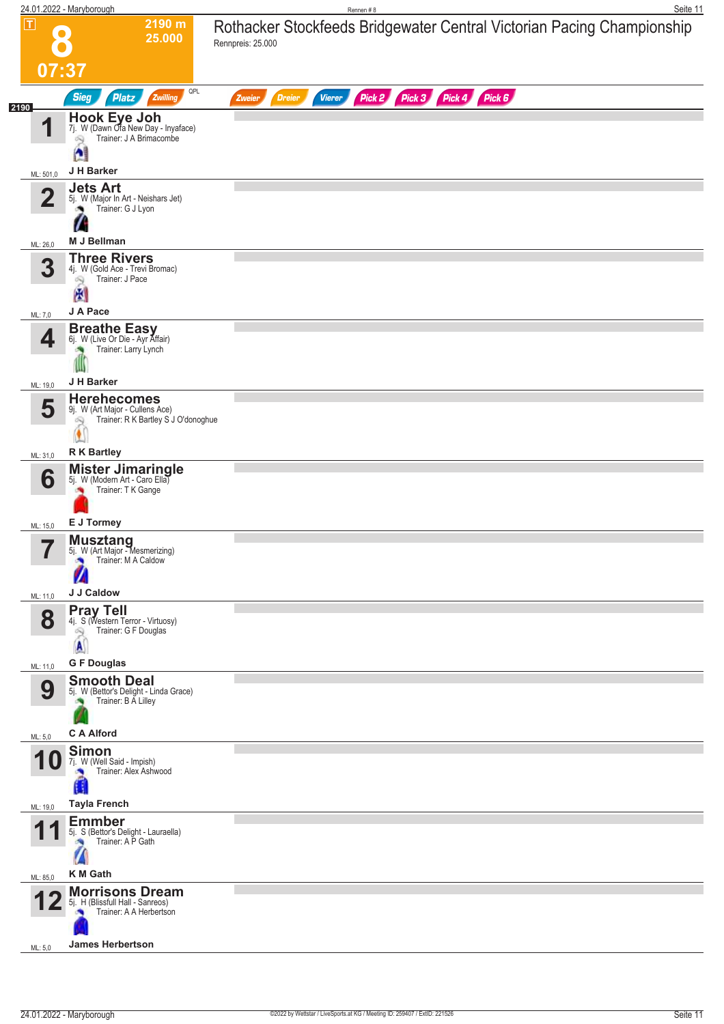